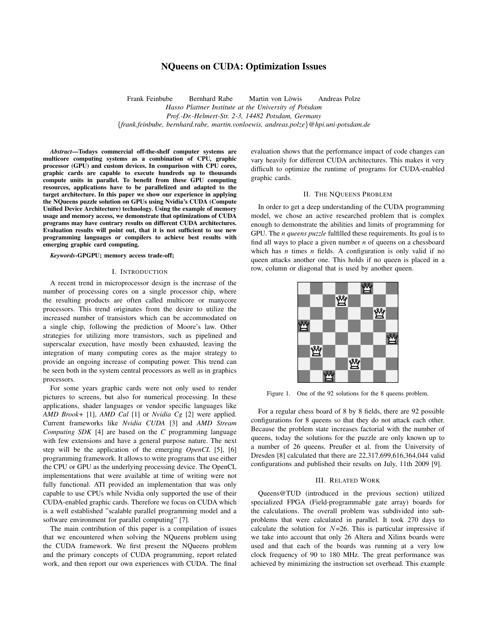# NQueens on CUDA: Optimization Issues

Frank Feinbube in Bernhard Rabe in Martin von Löwis in Andreas Polze *Hasso Plattner Institute at the University of Potsdam Prof.-Dr.-Helmert-Str. 2-3, 14482 Potsdam, Germany* {*frank.feinbube, bernhard.rabe, martin.vonloewis, andreas.polze*}*@hpi.uni-potsdam.de*

*Abstract*—Todays commercial off-the-shelf computer systems are multicore computing systems as a combination of CPU, graphic processor (GPU) and custom devices. In comparison with CPU cores, graphic cards are capable to execute hundreds up to thousands compute units in parallel. To benefit from these GPU computing resources, applications have to be parallelized and adapted to the target architecture. In this paper we show our experience in applying the NQueens puzzle solution on GPUs using Nvidia's CUDA (Compute Unified Device Architecture) technology. Using the example of memory usage and memory access, we demonstrate that optimizations of CUDA programs may have contrary results on different CUDA architectures. Evaluation results will point out, that it is not sufficient to use new programming languages or compilers to achieve best results with emerging graphic card computing.

#### *Keywords*-GPGPU; memory access trade-off;

# I. INTRODUCTION

A recent trend in microprocessor design is the increase of the number of processing cores on a single processor chip, where the resulting products are often called multicore or manycore processors. This trend originates from the desire to utilize the increased number of transistors which can be accommodated on a single chip, following the prediction of Moore's law. Other strategies for utilizing more transistors, such as pipelined and superscalar execution, have mostly been exhausted, leaving the integration of many computing cores as the major strategy to provide an ongoing increase of computing power. This trend can be seen both in the system central processors as well as in graphics processors.

For some years graphic cards were not only used to render pictures to screens, but also for numerical processing. In these applications, shader languages or vendor specific languages like *AMD Brook+* [1], *AMD Cal* [1] or *Nvidia Cg* [2] were applied. Current frameworks like *Nvidia CUDA* [3] and *AMD Stream Computing SDK* [4] are based on the *C* programming language with few extensions and have a general purpose nature. The next step will be the application of the emerging *OpenCL* [5], [6] programming framework. It allows to write programs that use either the CPU or GPU as the underlying processing device. The OpenCL implementations that were available at time of writing were not fully functional. ATI provided an implementation that was only capable to use CPUs while Nvidia only supported the use of their CUDA-enabled graphic cards. Therefore we focus on CUDA which is a well established "scalable parallel programming model and a software environment for parallel computing" [7].

The main contribution of this paper is a compilation of issues that we encountered when solving the NQueens problem using the CUDA framework. We first present the NQueens problem and the primary concepts of CUDA programming, report related work, and then report our own experiences with CUDA. The final evaluation shows that the performance impact of code changes can vary heavily for different CUDA architectures. This makes it very difficult to optimize the runtime of programs for CUDA-enabled graphic cards.

# II. THE NQUEENS PROBLEM

In order to get a deep understanding of the CUDA programming model, we chose an active researched problem that is complex enough to demonstrate the abilities and limits of programming for GPU. The *n queens puzzle* fulfilled these requirements. Its goal is to find all ways to place a given number *n* of queens on a chessboard which has *n* times *n* fields. A configuration is only valid if no queen attacks another one. This holds if no queen is placed in a row, column or diagonal that is used by another queen.



Figure 1. One of the 92 solutions for the 8 queens problem.

For a regular chess board of 8 by 8 fields, there are 92 possible configurations for 8 queens so that they do not attack each other. Because the problem state increases factorial with the number of queens, today the solutions for the puzzle are only known up to a number of 26 queens. Preußer et al. from the University of Dresden [8] calculated that there are 22,317,699,616,364,044 valid configurations and published their results on July, 11th 2009 [9].

# III. RELATED WORK

Queens@TUD (introduced in the previous section) utilized specialized FPGA (Field-programmable gate array) boards for the calculations. The overall problem was subdivided into subproblems that were calculated in parallel. It took 270 days to calculate the solution for  $N=26$ . This is particular impressive if we take into account that only 26 Altera and Xilinx boards were used and that each of the boards was running at a very low clock frequency of 90 to 180 MHz. The great performance was achieved by minimizing the instruction set overhead. This example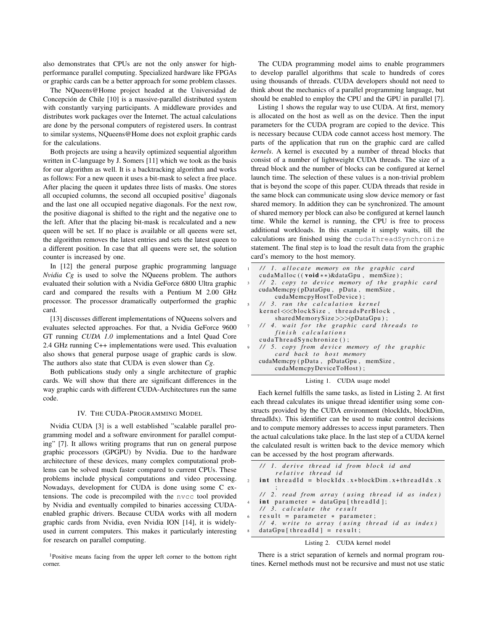also demonstrates that CPUs are not the only answer for highperformance parallel computing. Specialized hardware like FPGAs or graphic cards can be a better approach for some problem classes.

The NQueens@Home project headed at the Universidad de Concepción de Chile [10] is a massive-parallel distributed system with constantly varying participants. A middleware provides and distributes work packages over the Internet. The actual calculations are done by the personal computers of registered users. In contrast to similar systems, NQueens@Home does not exploit graphic cards for the calculations.

Both projects are using a heavily optimized sequential algorithm written in C-language by J. Somers [11] which we took as the basis for our algorithm as well. It is a backtracking algorithm and works as follows: For a new queen it uses a bit-mask to select a free place. After placing the queen it updates three lists of masks. One stores all occupied columns, the second all occupied positive<sup>1</sup> diagonals and the last one all occupied negative diagonals. For the next row, the positive diagonal is shifted to the right and the negative one to the left. After that the placing bit-mask is recalculated and a new queen will be set. If no place is available or all queens were set, the algorithm removes the latest entries and sets the latest queen to a different position. In case that all queens were set, the solution counter is increased by one.

In [12] the general purpose graphic programming language *Nvidia Cg* is used to solve the NQueens problem. The authors evaluated their solution with a Nvidia GeForce 6800 Ultra graphic card and compared the results with a Pentium M 2.00 GHz processor. The processor dramatically outperformed the graphic card.

[13] discusses different implementations of NQueens solvers and evaluates selected approaches. For that, a Nvidia GeForce 9600 GT running *CUDA 1.0* implementations and a Intel Quad Core 2.4 GHz running C++ implementations were used. This evaluation also shows that general purpose usage of graphic cards is slow. The authors also state that CUDA is even slower than *Cg*.

Both publications study only a single architecture of graphic cards. We will show that there are significant differences in the way graphic cards with different CUDA-Architectures run the same code.

#### IV. THE CUDA-PROGRAMMING MODEL

Nvidia CUDA [3] is a well established "scalable parallel programming model and a software environment for parallel computing" [7]. It allows writing programs that run on general purpose graphic processors (GPGPU) by Nvidia. Due to the hardware architecture of these devices, many complex computational problems can be solved much faster compared to current CPUs. These problems include physical computations and video processing. Nowadays, development for CUDA is done using some C extensions. The code is precompiled with the nvcc tool provided by Nvidia and eventually compiled to binaries accessing CUDAenabled graphic drivers. Because CUDA works with all modern graphic cards from Nvidia, even Nvidia ION [14], it is widelyused in current computers. This makes it particularly interesting for research on parallel computing.

<sup>1</sup>Positive means facing from the upper left corner to the bottom right corner.

The CUDA programming model aims to enable programmers to develop parallel algorithms that scale to hundreds of cores using thousands of threads. CUDA developers should not need to think about the mechanics of a parallel programming language, but should be enabled to employ the CPU and the GPU in parallel [7].

Listing 1 shows the regular way to use CUDA. At first, memory is allocated on the host as well as on the device. Then the input parameters for the CUDA program are copied to the device. This is necessary because CUDA code cannot access host memory. The parts of the application that run on the graphic card are called *kernels*. A kernel is executed by a number of thread blocks that consist of a number of lightweight CUDA threads. The size of a thread block and the number of blocks can be configured at kernel launch time. The selection of these values is a non-trivial problem that is beyond the scope of this paper. CUDA threads that reside in the same block can communicate using slow device memory or fast shared memory. In addition they can be synchronized. The amount of shared memory per block can also be configured at kernel launch time. While the kernel is running, the CPU is free to process additional workloads. In this example it simply waits, till the calculations are finished using the cudaThreadSynchronize statement. The final step is to load the result data from the graphic card's memory to the host memory.

| 1 // 1. allocate memory on the graphic card                         |
|---------------------------------------------------------------------|
| cudaMalloc $((\text{void} **) \& \text{dataGpu}, \text{memSize})$ ; |
| 3 // 2. copy to device memory of the graphic card                   |
| cudaMemcpy (pDataGpu, pData, memSize,                               |
| cudaMemcpyHostToDevice);                                            |
| 5 // 3, run the calculation kernel                                  |
| kernel <<<br>blockSize , threadsPerBlock,                           |
| sharedMemorySize $\gg$ (pDataGpu);                                  |
| 7 // 4. wait for the graphic card threads to                        |
| finish calculations                                                 |
| cudaThreadSynchronize();                                            |
| 9 // 5. copy from device memory of the graphic                      |
| card back to host memory                                            |
| cudaMemcpy (pData, pDataGpu, memSize,                               |
| cudaMemcpyDeviceToHost);                                            |

# Listing 1. CUDA usage model

Each kernel fulfills the same tasks, as listed in Listing 2. At first each thread calculates its unique thread identifier using some constructs provided by the CUDA environment (blockIdx, blockDim, threadIdx). This identifier can be used to make control decisions and to compute memory addresses to access input parameters. Then the actual calculations take place. In the last step of a CUDA kernel the calculated result is written back to the device memory which can be accessed by the host program afterwards.

|                         | // 1. derive thread id from block id and           |
|-------------------------|----------------------------------------------------|
|                         | relative thread id                                 |
|                         | 2 int threadId = blockIdx.x*blockDim.x+threadIdx.x |
|                         |                                                    |
|                         | // 2. read from array (using thread id as index)   |
|                         | int parameter = dataGpu[threadId];                 |
|                         | $11$ 3, calculate the result                       |
| 6 <sup>1</sup>          | $result = parameter * parameter;$                  |
|                         | // 4. write to array (using thread id as index)    |
| $\overline{\mathbf{g}}$ | $dataGpu[threadId] = result;$                      |
|                         | Listing 2. CUDA kernel model                       |

There is a strict separation of kernels and normal program routines. Kernel methods must not be recursive and must not use static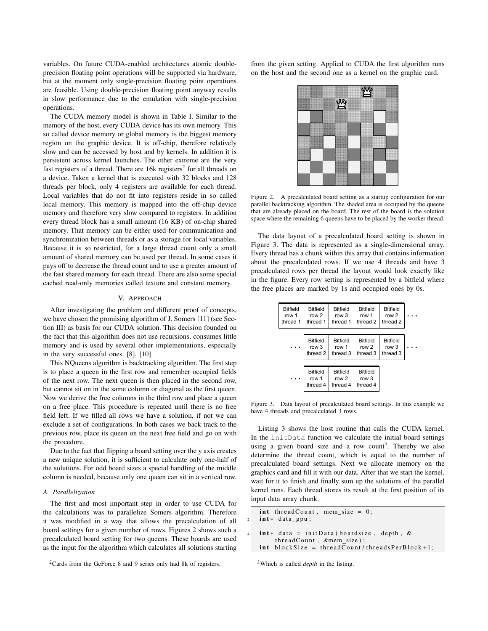variables. On future CUDA-enabled architectures atomic doubleprecision floating point operations will be supported via hardware, but at the moment only single-precision floating point operations are feasible. Using double-precision floating point anyway results in slow performance due to the emulation with single-precision operations.

The CUDA memory model is shown in Table I. Similar to the memory of the host, every CUDA device has its own memory. This so called device memory or global memory is the biggest memory region on the graphic device. It is off-chip, therefore relatively slow and can be accessed by host and by kernels. In addition it is persistent across kernel launches. The other extreme are the very fast registers of a thread. There are  $16k$  registers<sup>2</sup> for all threads on a device. Taken a kernel that is executed with 32 blocks and 128 threads per block, only 4 registers are available for each thread. Local variables that do not fit into registers reside in so called local memory. This memory is mapped into the off-chip device memory and therefore very slow compared to registers. In addition every thread block has a small amount (16 KB) of on-chip shared memory. That memory can be either used for communication and synchronization between threads or as a storage for local variables. Because it is so restricted, for a large thread count only a small amount of shared memory can be used per thread. In some cases it pays off to decrease the thread count and to use a greater amount of the fast shared memory for each thread. There are also some special cached read-only memories called texture and constant memory.

# V. APPROACH

After investigating the problem and different proof of concepts, we have chosen the promising algorithm of J. Somers [11] (see Section III) as basis for our CUDA solution. This decision founded on the fact that this algorithm does not use recursions, consumes little memory and is used by several other implementations, especially in the very successful ones. [8], [10]

This NQueens algorithm is backtracking algorithm. The first step is to place a queen in the first row and remember occupied fields of the next row. The next queen is then placed in the second row, but cannot sit on in the same column or diagonal as the first queen. Now we derive the free columns in the third row and place a queen on a free place. This procedure is repeated until there is no free field left. If we filled all rows we have a solution, if not we can exclude a set of configurations. In both cases we back track to the previous row, place its queen on the next free field and go on with the procedure.

Due to the fact that flipping a board setting over the y axis creates a new unique solution, it is sufficient to calculate only one-half of the solutions. For odd board sizes a special handling of the middle column is needed, because only one queen can sit in a vertical row.

# *A. Parallelization*

The first and most important step in order to use CUDA for the calculations was to parallelize Somers algorithm. Therefore it was modified in a way that allows the precalculation of all board settings for a given number of rows. Figures 2 shows such a precalculated board setting for two queens. These boards are used as the input for the algorithm which calculates all solutions starting from the given setting. Applied to CUDA the first algorithm runs on the host and the second one as a kernel on the graphic card.



Figure 2. A precalculated board setting as a startup configuration for our parallel backtracking algorithm. The shaded area is occupied by the queens that are already placed on the board. The rest of the board is the solution space where the remaining 6 queens have to be placed by the worker thread.

The data layout of a precalculated board setting is shown in Figure 3. The data is represented as a single-dimensional array. Every thread has a chunk within this array that contains information about the precalculated rows. If we use 4 threads and have 3 precalculated rows per thread the layout would look exactly like in the figure. Every row setting is represented by a bitfield where the free places are marked by 1s and occupied ones by 0s.

| <b>Bitfield</b><br>row 1<br>thread 1 | <b>Bitfield</b><br>row 2<br>thread 1 | <b>Bitfield</b><br>row 3<br>thread 1 | <b>Bitfield</b><br>row 1<br>thread 2            | <b>Bitfield</b><br>row 2<br>thread 2 |  |
|--------------------------------------|--------------------------------------|--------------------------------------|-------------------------------------------------|--------------------------------------|--|
|                                      |                                      |                                      |                                                 |                                      |  |
|                                      | <b>Bitfield</b><br>row 3<br>thread 2 | <b>Bitfield</b><br>row 1<br>thread 3 | <b>Bitfield</b><br>row <sub>2</sub><br>thread 3 | <b>Bitfield</b><br>row 3<br>thread 3 |  |
|                                      |                                      |                                      |                                                 |                                      |  |
|                                      | <b>Bitfield</b><br>row 1<br>thread 4 | <b>Bitfield</b><br>row 2<br>thread 4 | <b>Bitfield</b><br>row 3<br>thread 4            |                                      |  |

Figure 3. Data layout of precalculated board settings. In this example we have 4 threads and precalculated 3 rows.

Listing 3 shows the host routine that calls the CUDA kernel. In the initData function we calculate the initial board settings using a given board size and a row count<sup>3</sup>. Thereby we also determine the thread count, which is equal to the number of precalculated board settings. Next we allocate memory on the graphics card and fill it with our data. After that we start the kernel, wait for it to finish and finally sum up the solutions of the parallel kernel runs. Each thread stores its result at the first position of its input data array chunk.

```
int threadCount, mem_size = 0;
   int * data_gpu;
4 int* data = initData (boardsize, depth, &
       threadCount, &mem_size ;
   int blockSize = threadCount / threadsPerBlock + 1;
```
<sup>3</sup>Which is called *depth* in the listing.

<sup>2</sup>Cards from the GeForce 8 and 9 series only had 8k of registers.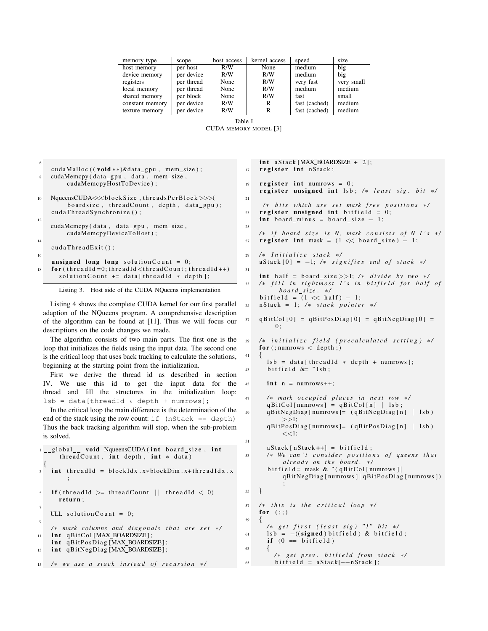| memory type     | scope      | host access | kernel access | speed         | size       |
|-----------------|------------|-------------|---------------|---------------|------------|
| host memory     | per host   | R/W         | None          | medium        | big        |
| device memory   | per device | R/W         | R/W           | medium        | big        |
| registers       | per thread | None        | R/W           | very fast     | very small |
| local memory    | per thread | None        | R/W           | medium        | medium     |
| shared memory   | per block  | None        | R/W           | fast          | small      |
| constant memory | per device | R/W         | R             | fast (cached) | medium     |
| texture memory  | per device | R/W         | R             | fast (cached) | medium     |
|                 |            |             |               |               |            |

Table I CUDA MEMORY MODEL [3]

| 6  |                                                                      |
|----|----------------------------------------------------------------------|
|    | cudaMalloc $((\text{void} **)\&\text{data\_gpu}, \text{mem\_size});$ |
| 8  | cudaMemcpy (data_gpu, data, mem_size,                                |
|    | cudaMemcpyHostToDevice);                                             |
|    |                                                                      |
|    |                                                                      |
| 10 | NqueensCUDA $\ll$ blockSize, threadsPerBlock $\gg$                   |
|    | boardsize, threadCount, depth, data_gpu);                            |
|    | cudaThreadSynchronize();                                             |
| 12 |                                                                      |
|    | cudaMemcpy (data, data_gpu, mem_size,                                |
|    | cudaMemcpyDeviceToHost);                                             |
|    |                                                                      |
| 14 |                                                                      |
|    | $cudaThreadExit()$ :                                                 |
| 16 |                                                                      |
|    | unsigned long long solution Count = $0$ ;                            |
| 18 | for $($ threadId = 0; threadId < threadCount; threadId + +)          |
|    | solution Count $\leftarrow$ data [thread Id $\ast$ depth];           |
|    |                                                                      |

Listing 3. Host side of the CUDA NQueens implementation

Listing 4 shows the complete CUDA kernel for our first parallel adaption of the NQueens program. A comprehensive description of the algorithm can be found at [11]. Thus we will focus our descriptions on the code changes we made.

The algorithm consists of two main parts. The first one is the loop that initializes the fields using the input data. The second one is the critical loop that uses back tracking to calculate the solutions, beginning at the starting point from the initialization.

First we derive the thread id as described in section IV. We use this id to get the input data for the thread and fill the structures in the initialization loop:  $lsb = data[threadId * depth + numrows];$ 

In the critical loop the main difference is the determination of the end of the stack using the row count: if  $(nStack == depth)$ Thus the back tracking algorithm will stop, when the sub-problem is solved.

|                               | 1_global_ void NqueensCUDA(int board_size, int<br>thread Count, $int$ depth, $int * data$ )      |
|-------------------------------|--------------------------------------------------------------------------------------------------|
|                               | $int$ threadId = blockIdx.x*blockDim.x+threadIdx.x                                               |
|                               | $\mathfrak{f}$ if (threadId $\mathfrak{f}$ threadCount    threadId $\mathfrak{f}$ (1)<br>return; |
| $\overline{7}$<br>$\mathbf Q$ | ULL solution Count = $0$ ;                                                                       |
| 11                            | $/*$ mark columns and diagonals that are set $*/$<br>int qBitCol[MAX_BOARDSIZE];                 |
| 13                            | int qBitPosDiag[MAX_BOARDSIZE];<br>int qBitNegDiag[MAX BOARDSIZE];                               |
|                               | $15$ /* we use a stack instead of recursion */                                                   |

 $int a Stack [MAX_BOARDSIZE + 2];$ 17 register int nStack;  $19$  register int numrows = 0; register unsigned int lsb; /\* *least sig. bit* \*/ 21 */*∗ *bits* which are set mark free positions \*/  $23$  register unsigned int bitfield = 0; int board minus = board size  $-1$ ; 25 /\* *if board size is N, mask consists of N 1's \*/*  $27$  register int mask =  $(1 \ll \text{board\_size}) - 1$ ; <sup>29</sup> */*∗ *I n i t i a l i z e s t a c k* ∗*/*  $a \text{Stack} [0] = -1$ ; /\* *signifies end of stack \*/* 31 int half = board\_size >>1; /\*  $divide$  by two \*/ /∗ *fill in rightmost 1's in bitfield for half of b o a r d s i z e .* ∗*/* bit field =  $(1 \ll \text{half}) - 1$ ; <sup>35</sup> n St a c k = 1 ; */*∗ *s t a c k p o i n t e r* ∗*/*  $37 \text{ qBitCol}$  [0] = qBitPosDiag [0] = qBitNegDiag [0] =  $0:$ 39 /\* *initialize field (precalculated setting) \*/* for  $($ ; numrows  $\langle$  depth;) <sup>41</sup> {  $\text{lsb} = \text{data}$  [thread Id \* depth + numrows]; 43 bitfield  $&=$   $\tilde{c}$  lsb; 45 int  $n =$  numrows + +: <sup>47</sup> */*∗ *mark o c c u pi e d p l a c e s i n n e x t row* ∗*/*  $qBitCol [numrows] = qBitCol [n] | lsb;$ qBitNegDiag [numrows]= (qBitNegDiag [n] | lsb)  $>>1$ : qBit Pos Diag [numrows] = (qBit Pos Diag [n] | lsb)  $<<1;$ 51  $a Stack [nStack++] = bitfield;$ 53 /\* We can't consider positions of queens that *already* on the board. \*/ bit field = mask &  $\tilde{c}$  (qBitCol [numrows ] | qBitNegDiag [ numrows ] | qBitPosDiag [ numrows ] ) ; <sup>55</sup> } 57 /\* this is the critical loop \*/ for  $($ ;;) <sup>59</sup> { */*∗ *g e t f i r s t ( l e a s t s i g ) "1" b i t* ∗*/* 61 lsb =  $-($ (signed) bitfield) & bitfield; if  $(0 == bit field)$ <sup>63</sup> { */*∗ *g e t p r e v . b i t f i e l d f r om s t a c k* ∗*/*  $65$  bitfield = aStack [--nStack];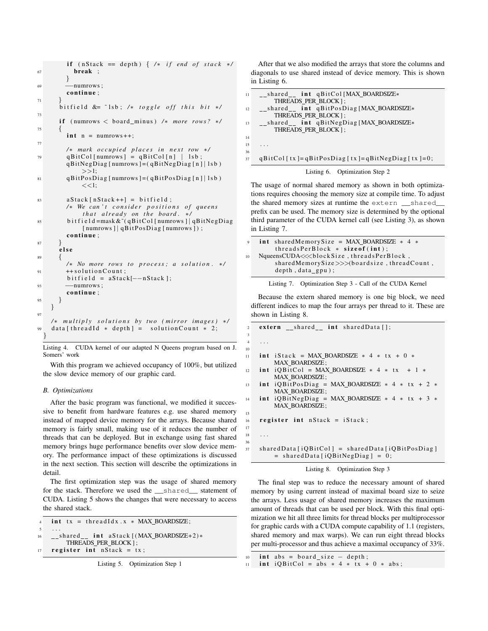```
if (nStack == depth) { /* if end of stack */67 break ;
         }
69 −−numrows ;
        continue:
71 }
      bit field \&= ~lsb; /* toggle off this bit */
73
      if (numrows < board_minus) /* more rows? */
75 {
        int n = numrows++;77
        /∗ mark o c c u pi e d p l a c e s i n n e x t row ∗/
79 \qquad qBitCol [numrows] = qBitCol [n] | lsb ;qBitNegDiag [ numrows ] = ( qBitNegDiag [n ] | lsb)
             >>1:
81 qBit P os Diag [ numrows ] = ( qBit P os Diag [n ] | 1s b )
             <<1:
83 a Stack [n Stack ++] = bit field;
        /∗ We can't consider positions of queens
             that already on the board. */
85 b i t f i e l d =mask & ˜ ( qBitC ol [ numrows ] ∣ qBitNe gDia g
             [ numrows ] | qBitPosDiag [ numrows ] ) ;
        continue;
87 }
      e l s e
89/∗ No more rows t o p r o c e s s ; a s o l u t i o n . ∗/
91 ++ solution Count;
        bitfield = aStack[--nStack];93 −−numrows;
        continue;
95 }
    }
97
    /∗ m u l t i p l y s o l u t i o n s by two ( mi r r o r im a ge s ) ∗/
99 data [threadId * depth] = solution Count * 2;
  }
```
Listing 4. CUDA kernel of our adapted N Queens program based on J. Somers' work

With this program we achieved occupancy of 100%, but utilized the slow device memory of our graphic card.

### *B. Optimizations*

After the basic program was functional, we modified it successive to benefit from hardware features e.g. use shared memory instead of mapped device memory for the arrays. Because shared memory is fairly small, making use of it reduces the number of threads that can be deployed. But in exchange using fast shared memory brings huge performance benefits over slow device memory. The performance impact of these optimizations is discussed in the next section. This section will describe the optimizations in detail.

The first optimization step was the usage of shared memory for the stack. Therefore we used the \_\_shared\_\_ statement of CUDA. Listing 5 shows the changes that were necessary to access the shared stack.

```
int tx = thread Idx .x * MAX_BOARDSIZE;
\overline{5} \cdots16 __shared__ int aStack [(MAX_BOARRSIZE+2)*THREADS PER BLOCK ] ;
17 register int nState + tx;
```
After that we also modified the arrays that store the columns and diagonals to use shared instead of device memory. This is shown in Listing 6.

| 11 | $_{--}$ shared $_{--}$ int qBitCol[MAX_BOARDSIZE*<br>THREADS PER BLOCK]; |
|----|--------------------------------------------------------------------------|
| 12 | __shared__ int qBitPosDiag[MAX_BOARDSIZE*<br>THREADS_PER_BLOCK];         |
| 13 | __shared__ int qBitNegDiag[MAX_BOARDSIZE*<br>THREADS PER BLOCK];         |
| 14 |                                                                          |
| 15 | .                                                                        |
| 36 |                                                                          |
| 37 | $qBitCol$ [tx]= $qBitPosDiag$ [tx]= $qBitNegDiag$ [tx]=0;                |
|    | Listing 6. Optimization Step 2                                           |

The usage of normal shared memory as shown in both optimizations requires choosing the memory size at compile time. To adjust the shared memory sizes at runtime the extern \_\_shared\_\_ prefix can be used. The memory size is determined by the optional third parameter of the CUDA kernel call (see Listing 3), as shown in Listing 7.

| $\mathbf{Q}$ | int sharedMemorySize = MAX BOARDSIZE $*$ 4 $*$<br>threads $PerBlock * size of (int);$                                   |
|--------------|-------------------------------------------------------------------------------------------------------------------------|
| 10           | NqueensCUDA $\ll$ blockSize, threadsPerBlock,<br>sharedMemorySize $\gg$ boardsize, threadCount,<br>$depth, data\_gpu);$ |

Listing 7. Optimization Step 3 - Call of the CUDA Kernel

Because the extern shared memory is one big block, we need different indices to map the four arrays per thread to it. These are shown in Listing 8.

```
2 extern _{--}shared_{--} int shared Data [];
\frac{4}{1} ...
11 int iStack = MAX_BOARDSIZE * 4 * tx + 0 *MAX BOARDSIZE;
12 int iQBitCol = MAX_BOARDSIZE * 4 * tx + 1 *MAX_BOARDSIZE;
13 int iQBitPosDiag = MAX_BOARDSIZE * 4 * tx + 2 *MAX BOARDSIZE;
   int iQBitNegDiag = MAX_BOARDSIZE * 4 * tx + 3 *MAX BOARDSIZE;
16 register int nStack = iStack;
37 shared Data [iQBitCol] = shared Data [iQBit Pos Diag]
        = shared Data [iQBitNeg Diag] = 0;
```


The final step was to reduce the necessary amount of shared memory by using current instead of maximal board size to seize the arrays. Less usage of shared memory increases the maximum amount of threads that can be used per block. With this final optimization we hit all three limits for thread blocks per multiprocessor for graphic cards with a CUDA compute capability of 1.1 (registers, shared memory and max warps). We can run eight thread blocks per multi-processor and thus achieve a maximal occupancy of 33%.

3

10

15

17  $18$ 36

 $\text{int } abs = board\_size - depth;$ 

<sup>11</sup> int iQBitCol = abs  $* 4 * tx + 0 * abs;$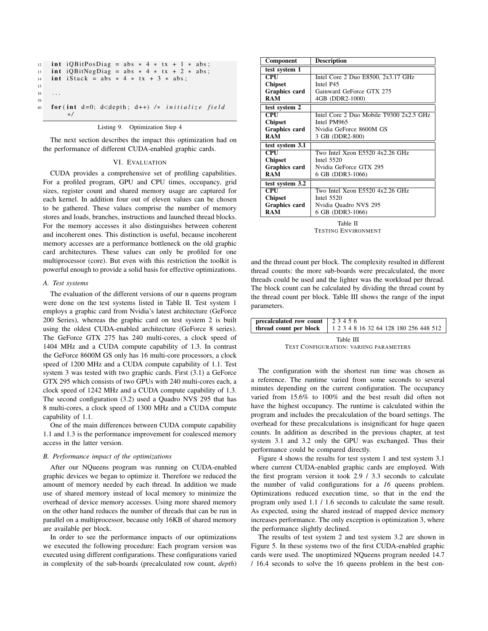|    | $\overline{12}$ int iQBitPosDiag = abs $*$ 4 $*$ tx + 1 $*$ abs;     |
|----|----------------------------------------------------------------------|
| 13 | int iOBitNegDiag = abs $* 4 * tx + 2 * abs$ ;                        |
|    | $\frac{14}{14}$ int iStack = abs $* 4 * tx + 3 * abs;$               |
| 15 |                                                                      |
| 16 | $\cdots$                                                             |
| 39 |                                                                      |
| 40 | for (int $d=0$ ; $d \leq d$ epth; $d++$ ) /* <i>initialize field</i> |
|    | $\ast/$                                                              |
|    |                                                                      |

Listing 9. Optimization Step 4

The next section describes the impact this optimization had on the performance of different CUDA-enabled graphic cards.

#### VI. EVALUATION

CUDA provides a comprehensive set of profiling capabilities. For a profiled program, GPU and CPU times, occupancy, grid sizes, register count and shared memory usage are captured for each kernel. In addition four out of eleven values can be chosen to be gathered. These values comprise the number of memory stores and loads, branches, instructions and launched thread blocks. For the memory accesses it also distinguishes between coherent and incoherent ones. This distinction is useful, because incoherent memory accesses are a performance bottleneck on the old graphic card architectures. These values can only be profiled for one multiprocessor (core). But even with this restriction the toolkit is powerful enough to provide a solid basis for effective optimizations.

#### *A. Test systems*

The evaluation of the different versions of our n queens program were done on the test systems listed in Table II. Test system 1 employs a graphic card from Nvidia's latest architecture (GeForce 200 Series), whereas the graphic card on test system 2 is built using the oldest CUDA-enabled architecture (GeForce 8 series). The GeForce GTX 275 has 240 multi-cores, a clock speed of 1404 MHz and a CUDA compute capability of 1.3. In contrast the GeForce 8600M GS only has 16 multi-core processors, a clock speed of 1200 MHz and a CUDA compute capability of 1.1. Test system 3 was tested with two graphic cards. First (3.1) a GeForce GTX 295 which consists of two GPUs with 240 multi-cores each, a clock speed of 1242 MHz and a CUDA compute capability of 1.3. The second configuration (3.2) used a Quadro NVS 295 that has 8 multi-cores, a clock speed of 1300 MHz and a CUDA compute capability of 1.1.

One of the main differences between CUDA compute capability 1.1 and 1.3 is the performance improvement for coalesced memory access in the latter version.

### *B. Performance impact of the optimizations*

After our NQueens program was running on CUDA-enabled graphic devices we began to optimize it. Therefore we reduced the amount of memory needed by each thread. In addition we made use of shared memory instead of local memory to minimize the overhead of device memory accesses. Using more shared memory on the other hand reduces the number of threads that can be run in parallel on a multiprocessor, because only 16KB of shared memory are available per block.

In order to see the performance impacts of our optimizations we executed the following procedure: Each program version was executed using different configurations. These configurations varied in complexity of the sub-boards (precalculated row count, *depth*)

| <b>Description</b><br><b>Component</b> |                                         |
|----------------------------------------|-----------------------------------------|
| test system 1                          |                                         |
| <b>CPU</b>                             | Intel Core 2 Duo E8500, 2x3.17 GHz      |
| <b>Chipset</b>                         | Intel P45                               |
| Graphics card                          | Gainward GeForce GTX 275                |
| <b>RAM</b>                             | 4GB (DDR2-1000)                         |
| test system 2                          |                                         |
| CPIJ                                   | Intel Core 2 Duo Mobile T9300 2x2.5 GHz |
| <b>Chipset</b>                         | Intel PM965                             |
| Graphics card                          | Nvidia GeForce 8600M GS                 |
| <b>RAM</b>                             | 3 GB (DDR2-800)                         |
| test system 3.1                        |                                         |
| <b>CPU</b>                             | Two Intel Xeon E5520 4x2.26 GHz         |
| <b>Chipset</b>                         | Intel 5520                              |
| Graphics card                          | Nvidia GeForce GTX 295                  |
| <b>RAM</b>                             | 6 GB (DDR3-1066)                        |
| test system 3.2                        |                                         |
| $\overline{\mathbf{CPU}}$              | Two Intel Xeon E5520 4x2.26 GHz         |
| <b>Chipset</b>                         | Intel 5520                              |
| Graphics card                          | Nvidia Quadro NVS 295                   |
| <b>RAM</b>                             | 6 GB (DDR3-1066)                        |
|                                        |                                         |

Table II TESTING ENVIRONMENT

and the thread count per block. The complexity resulted in different thread counts: the more sub-boards were precalculated, the more threads could be used and the lighter was the workload per thread. The block count can be calculated by dividing the thread count by the thread count per block. Table III shows the range of the input parameters.

| <b>precalculated row count</b> 23456 |                                                                 |
|--------------------------------------|-----------------------------------------------------------------|
|                                      | thread count per block   1 2 3 4 8 16 32 64 128 180 256 448 512 |
|                                      | Table III                                                       |

TEST CONFIGURATION: VARIING PARAMETERS

The configuration with the shortest run time was chosen as a reference. The runtime varied from some seconds to several minutes depending on the current configuration. The occupancy varied from 15.6% to 100% and the best result did often not have the highest occupancy. The runtime is calculated within the program and includes the precalculation of the board settings. The overhead for these precalculations is insignificant for huge queen counts. In addition as described in the previous chapter, at test system 3.1 and 3.2 only the GPU was exchanged. Thus their performance could be compared directly.

Figure 4 shows the results for test system 1 and test system 3.1 where current CUDA-enabled graphic cards are employed. With the first program version it took 2.9 / 3.3 seconds to calculate the number of valid configurations for a *16* queens problem. Optimizations reduced execution time, so that in the end the program only used 1.1 / 1.6 seconds to calculate the same result. As expected, using the shared instead of mapped device memory increases performance. The only exception is optimization 3, where the performance slightly declined.

The results of test system 2 and test system 3.2 are shown in Figure 5. In these systems two of the first CUDA-enabled graphic cards were used. The unoptimized NQueens program needed 14.7 / 16.4 seconds to solve the 16 queens problem in the best con-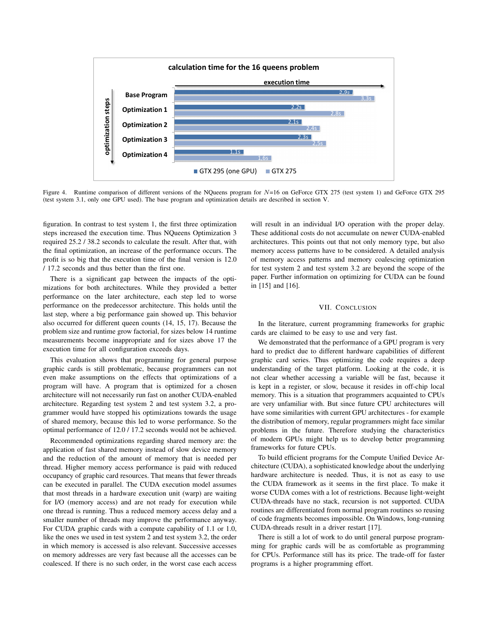

Figure 4. Runtime comparison of different versions of the NQueens program for  $N=16$  on GeForce GTX 275 (test system 1) and GeForce GTX 295 (test system 3.1, only one GPU used). The base program and optimization details are described in section V.

figuration. In contrast to test system 1, the first three optimization steps increased the execution time. Thus NQueens Optimization 3 required 25.2 / 38.2 seconds to calculate the result. After that, with the final optimization, an increase of the performance occurs. The profit is so big that the execution time of the final version is 12.0 / 17.2 seconds and thus better than the first one.

There is a significant gap between the impacts of the optimizations for both architectures. While they provided a better performance on the later architecture, each step led to worse performance on the predecessor architecture. This holds until the last step, where a big performance gain showed up. This behavior also occurred for different queen counts (14, 15, 17). Because the problem size and runtime grow factorial, for sizes below 14 runtime measurements become inappropriate and for sizes above 17 the execution time for all configuration exceeds days.

This evaluation shows that programming for general purpose graphic cards is still problematic, because programmers can not even make assumptions on the effects that optimizations of a program will have. A program that is optimized for a chosen architecture will not necessarily run fast on another CUDA-enabled architecture. Regarding test system 2 and test system 3.2, a programmer would have stopped his optimizations towards the usage of shared memory, because this led to worse performance. So the optimal performance of 12.0 / 17.2 seconds would not be achieved.

Recommended optimizations regarding shared memory are: the application of fast shared memory instead of slow device memory and the reduction of the amount of memory that is needed per thread. Higher memory access performance is paid with reduced occupancy of graphic card resources. That means that fewer threads can be executed in parallel. The CUDA execution model assumes that most threads in a hardware execution unit (warp) are waiting for I/O (memory access) and are not ready for execution while one thread is running. Thus a reduced memory access delay and a smaller number of threads may improve the performance anyway. For CUDA graphic cards with a compute capability of 1.1 or 1.0, like the ones we used in test system 2 and test system 3.2, the order in which memory is accessed is also relevant. Successive accesses on memory addresses are very fast because all the accesses can be coalesced. If there is no such order, in the worst case each access will result in an individual I/O operation with the proper delay. These additional costs do not accumulate on newer CUDA-enabled architectures. This points out that not only memory type, but also memory access patterns have to be considered. A detailed analysis of memory access patterns and memory coalescing optimization for test system 2 and test system 3.2 are beyond the scope of the paper. Further information on optimizing for CUDA can be found in [15] and [16].

# VII. CONCLUSION

In the literature, current programming frameworks for graphic cards are claimed to be easy to use and very fast.

We demonstrated that the performance of a GPU program is very hard to predict due to different hardware capabilities of different graphic card series. Thus optimizing the code requires a deep understanding of the target platform. Looking at the code, it is not clear whether accessing a variable will be fast, because it is kept in a register, or slow, because it resides in off-chip local memory. This is a situation that programmers acquainted to CPUs are very unfamiliar with. But since future CPU architectures will have some similarities with current GPU architectures - for example the distribution of memory, regular programmers might face similar problems in the future. Therefore studying the characteristics of modern GPUs might help us to develop better programming frameworks for future CPUs.

To build efficient programs for the Compute Unified Device Architecture (CUDA), a sophisticated knowledge about the underlying hardware architecture is needed. Thus, it is not as easy to use the CUDA framework as it seems in the first place. To make it worse CUDA comes with a lot of restrictions. Because light-weight CUDA-threads have no stack, recursion is not supported. CUDA routines are differentiated from normal program routines so reusing of code fragments becomes impossible. On Windows, long-running CUDA-threads result in a driver restart [17].

There is still a lot of work to do until general purpose programming for graphic cards will be as comfortable as programming for CPUs. Performance still has its price. The trade-off for faster programs is a higher programming effort.